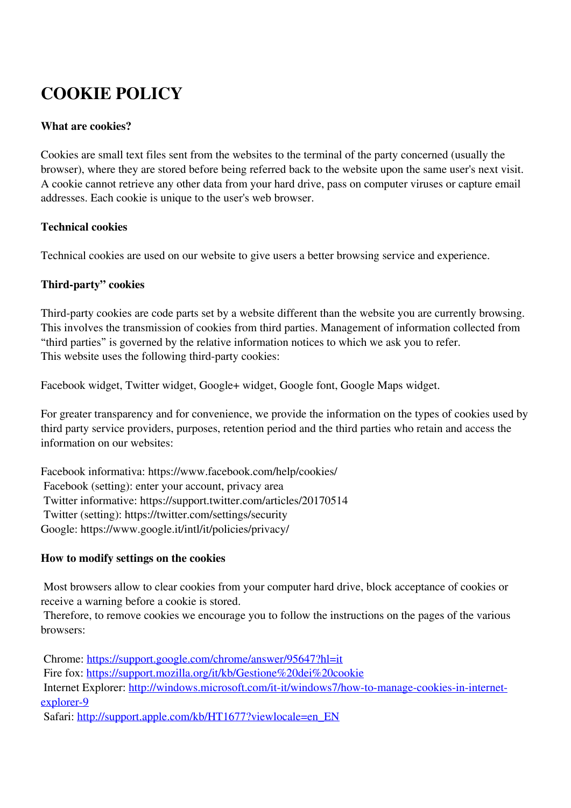# **COOKIE POLICY**

#### **What are cookies?**

Cookies are small text files sent from the websites to the terminal of the party concerned (usually the browser), where they are stored before being referred back to the website upon the same user's next visit. A cookie cannot retrieve any other data from your hard drive, pass on computer viruses or capture email addresses. Each cookie is unique to the user's web browser.

#### **Technical cookies**

Technical cookies are used on our website to give users a better browsing service and experience.

#### **Third-party" cookies**

Third-party cookies are code parts set by a website different than the website you are currently browsing. This involves the transmission of cookies from third parties. Management of information collected from "third parties" is governed by the relative information notices to which we ask you to refer. This website uses the following third-party cookies:

Facebook widget, Twitter widget, Google+ widget, Google font, Google Maps widget.

For greater transparency and for convenience, we provide the information on the types of cookies used by third party service providers, purposes, retention period and the third parties who retain and access the information on our websites:

Facebook informativa: https://www.facebook.com/help/cookies/ Facebook (setting): enter your account, privacy area Twitter informative: https://support.twitter.com/articles/20170514 Twitter (setting): https://twitter.com/settings/security Google: https://www.google.it/intl/it/policies/privacy/

#### **How to modify settings on the cookies**

 Most browsers allow to clear cookies from your computer hard drive, block acceptance of cookies or receive a warning before a cookie is stored.

 Therefore, to remove cookies we encourage you to follow the instructions on the pages of the various browsers:

Chrome: <https://support.google.com/chrome/answer/95647?hl=it>

Fire fox:<https://support.mozilla.org/it/kb/Gestione%20dei%20cookie>

 Internet Explorer: [http://windows.microsoft.com/it-it/windows7/how-to-manage-cookies-in-internet](http://windows.microsoft.com/it-it/windows7/how-to-manage-cookies-in-internet-explorer-9)[explorer-9](http://windows.microsoft.com/it-it/windows7/how-to-manage-cookies-in-internet-explorer-9)

Safari: [http://support.apple.com/kb/HT1677?viewlocale=en\\_EN](http://support.apple.com/kb/HT1677?viewlocale=it_IT)